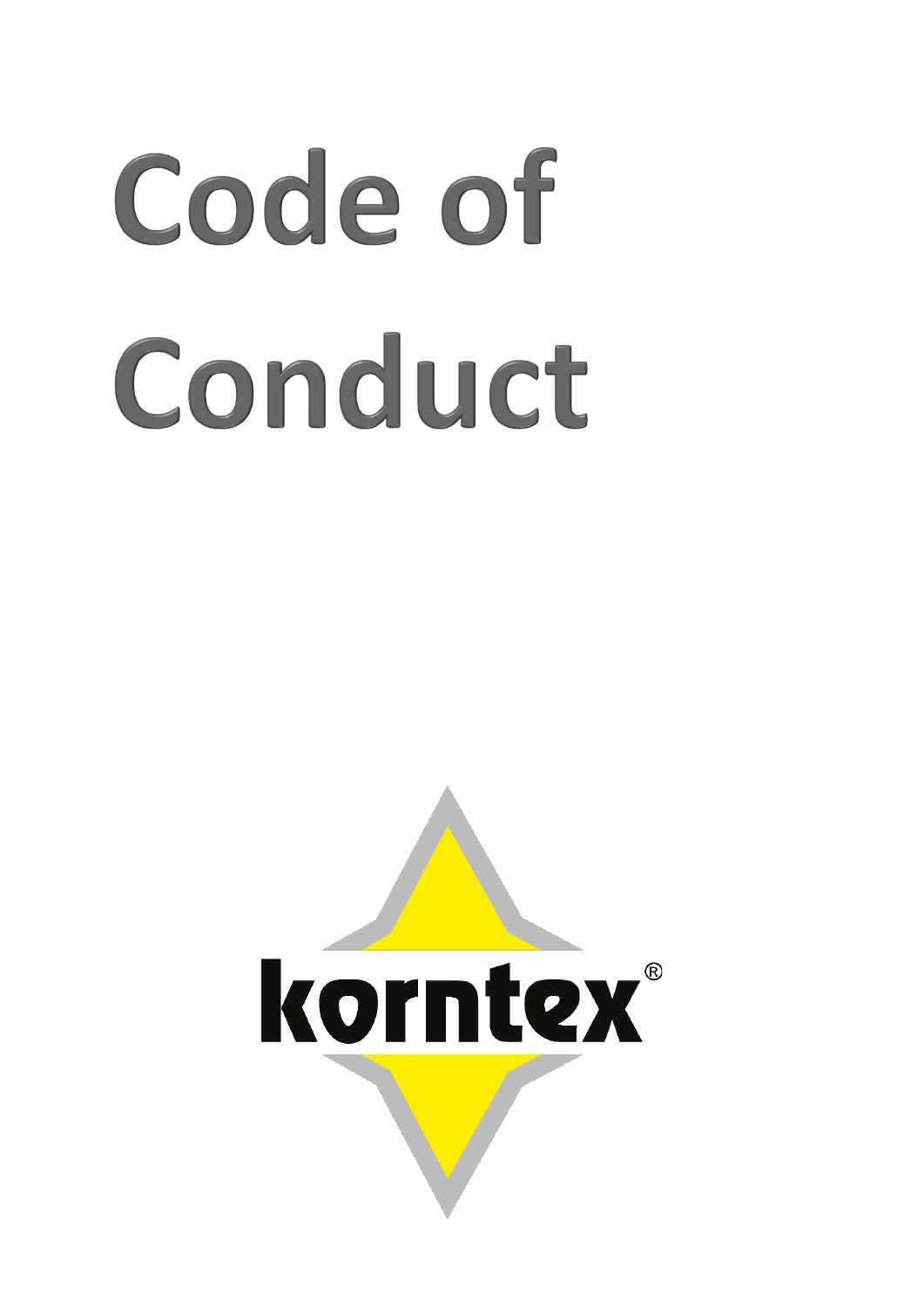# Code of Conduct

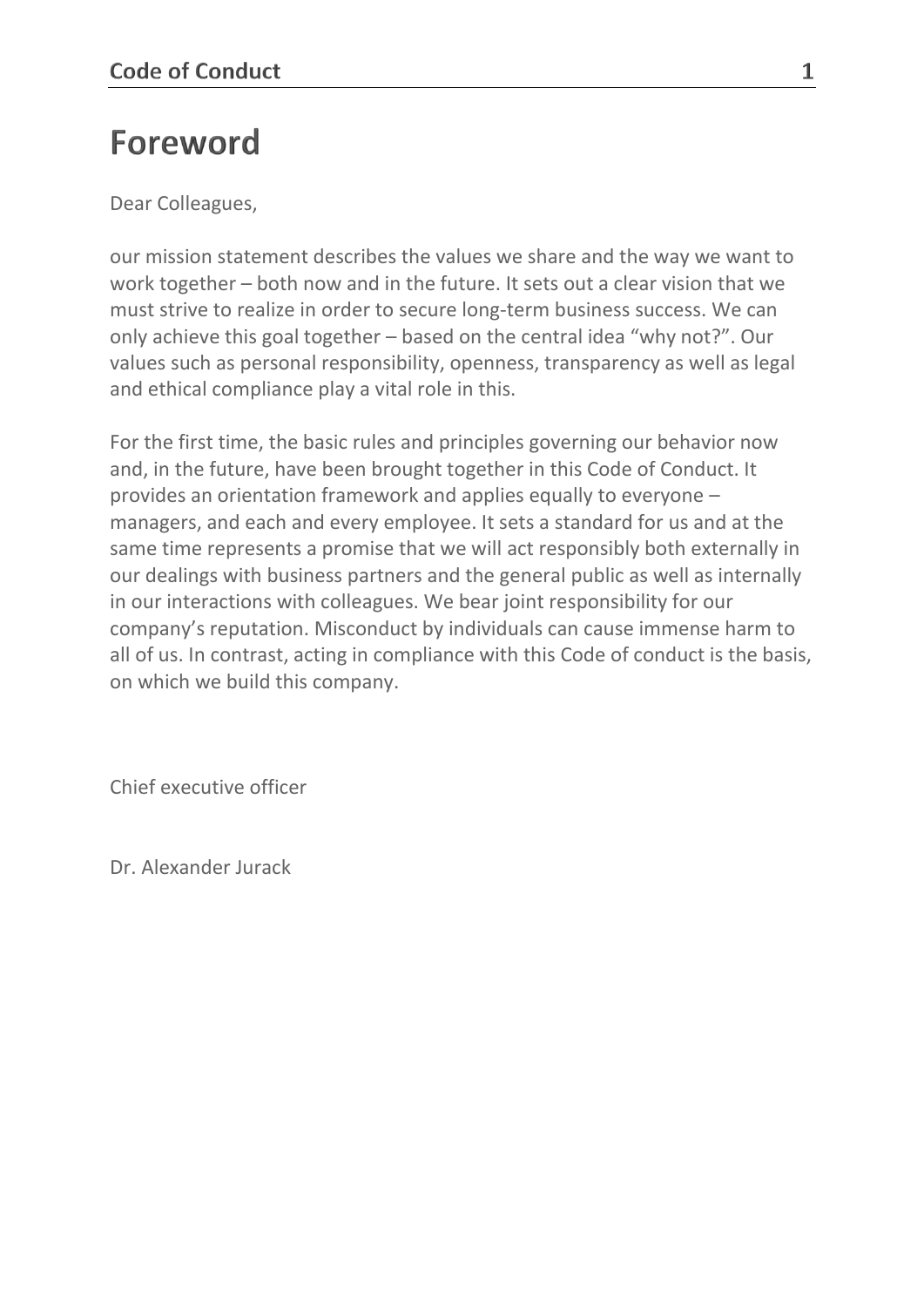# Foreword

Dear Colleagues,

our mission statement describes the values we share and the way we want to work together – both now and in the future. It sets out a clear vision that we must strive to realize in order to secure long-term business success. We can only achieve this goal together – based on the central idea "why not?". Our values such as personal responsibility, openness, transparency as well as legal and ethical compliance play a vital role in this.

For the first time, the basic rules and principles governing our behavior now and, in the future, have been brought together in this Code of Conduct. It provides an orientation framework and applies equally to everyone – managers, and each and every employee. It sets a standard for us and at the same time represents a promise that we will act responsibly both externally in our dealings with business partners and the general public as well as internally in our interactions with colleagues. We bear joint responsibility for our company's reputation. Misconduct by individuals can cause immense harm to all of us. In contrast, acting in compliance with this Code of conduct is the basis, on which we build this company.

Chief executive officer

Dr. Alexander Jurack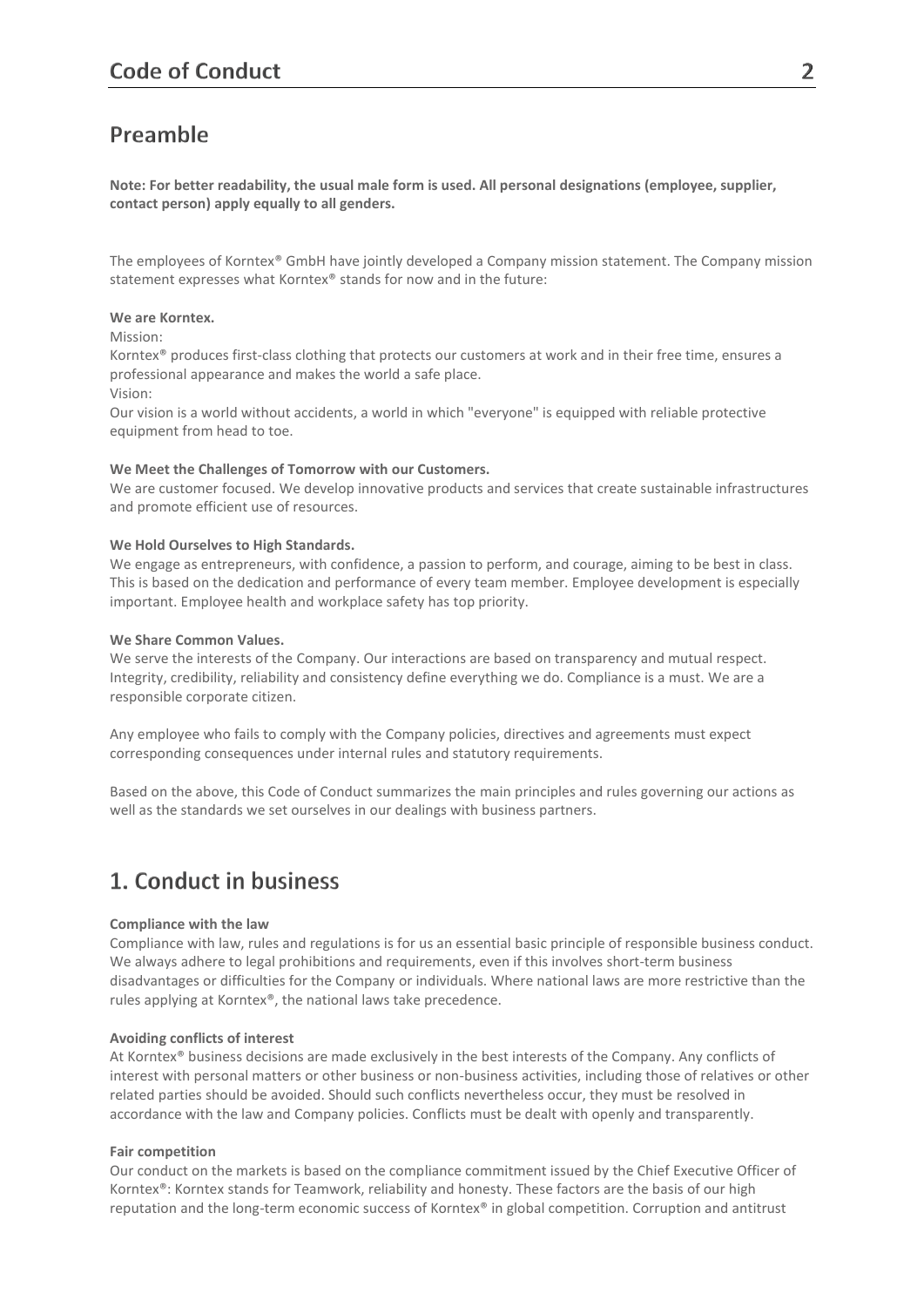# Preamble

**Note: For better readability, the usual male form is used. All personal designations (employee, supplier, contact person) apply equally to all genders.**

The employees of Korntex® GmbH have jointly developed a Company mission statement. The Company mission statement expresses what Korntex® stands for now and in the future:

### **We are Korntex.**

Mission:

Korntex® produces first-class clothing that protects our customers at work and in their free time, ensures a professional appearance and makes the world a safe place.

Vision:

Our vision is a world without accidents, a world in which "everyone" is equipped with reliable protective equipment from head to toe.

### **We Meet the Challenges of Tomorrow with our Customers.**

We are customer focused. We develop innovative products and services that create sustainable infrastructures and promote efficient use of resources.

### **We Hold Ourselves to High Standards.**

We engage as entrepreneurs, with confidence, a passion to perform, and courage, aiming to be best in class. This is based on the dedication and performance of every team member. Employee development is especially important. Employee health and workplace safety has top priority.

### **We Share Common Values.**

We serve the interests of the Company. Our interactions are based on transparency and mutual respect. Integrity, credibility, reliability and consistency define everything we do. Compliance is a must. We are a responsible corporate citizen.

Any employee who fails to comply with the Company policies, directives and agreements must expect corresponding consequences under internal rules and statutory requirements.

Based on the above, this Code of Conduct summarizes the main principles and rules governing our actions as well as the standards we set ourselves in our dealings with business partners.

# 1. Conduct in business

### **Compliance with the law**

Compliance with law, rules and regulations is for us an essential basic principle of responsible business conduct. We always adhere to legal prohibitions and requirements, even if this involves short-term business disadvantages or difficulties for the Company or individuals. Where national laws are more restrictive than the rules applying at Korntex®, the national laws take precedence.

### **Avoiding conflicts of interest**

At Korntex® business decisions are made exclusively in the best interests of the Company. Any conflicts of interest with personal matters or other business or non-business activities, including those of relatives or other related parties should be avoided. Should such conflicts nevertheless occur, they must be resolved in accordance with the law and Company policies. Conflicts must be dealt with openly and transparently.

### **Fair competition**

Our conduct on the markets is based on the compliance commitment issued by the Chief Executive Officer of Korntex®: Korntex stands for Teamwork, reliability and honesty. These factors are the basis of our high reputation and the long-term economic success of Korntex® in global competition. Corruption and antitrust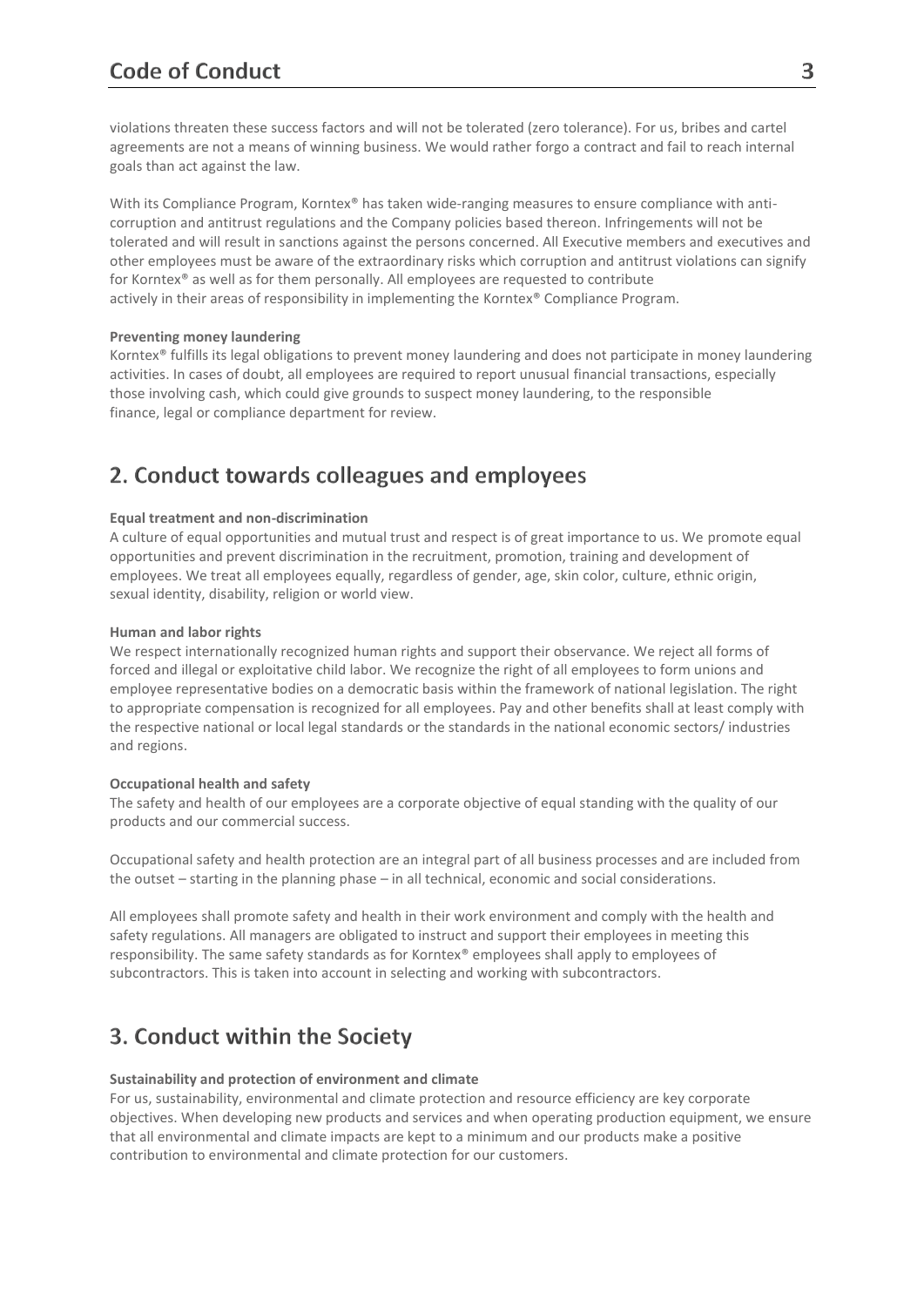violations threaten these success factors and will not be tolerated (zero tolerance). For us, bribes and cartel agreements are not a means of winning business. We would rather forgo a contract and fail to reach internal goals than act against the law.

With its Compliance Program, Korntex® has taken wide-ranging measures to ensure compliance with anticorruption and antitrust regulations and the Company policies based thereon. Infringements will not be tolerated and will result in sanctions against the persons concerned. All Executive members and executives and other employees must be aware of the extraordinary risks which corruption and antitrust violations can signify for Korntex® as well as for them personally. All employees are requested to contribute actively in their areas of responsibility in implementing the Korntex® Compliance Program.

### **Preventing money laundering**

Korntex® fulfills its legal obligations to prevent money laundering and does not participate in money laundering activities. In cases of doubt, all employees are required to report unusual financial transactions, especially those involving cash, which could give grounds to suspect money laundering, to the responsible finance, legal or compliance department for review.

# 2. Conduct towards colleagues and employees

### **Equal treatment and non-discrimination**

A culture of equal opportunities and mutual trust and respect is of great importance to us. We promote equal opportunities and prevent discrimination in the recruitment, promotion, training and development of employees. We treat all employees equally, regardless of gender, age, skin color, culture, ethnic origin, sexual identity, disability, religion or world view.

### **Human and labor rights**

We respect internationally recognized human rights and support their observance. We reject all forms of forced and illegal or exploitative child labor. We recognize the right of all employees to form unions and employee representative bodies on a democratic basis within the framework of national legislation. The right to appropriate compensation is recognized for all employees. Pay and other benefits shall at least comply with the respective national or local legal standards or the standards in the national economic sectors/ industries and regions.

### **Occupational health and safety**

The safety and health of our employees are a corporate objective of equal standing with the quality of our products and our commercial success.

Occupational safety and health protection are an integral part of all business processes and are included from the outset – starting in the planning phase – in all technical, economic and social considerations.

All employees shall promote safety and health in their work environment and comply with the health and safety regulations. All managers are obligated to instruct and support their employees in meeting this responsibility. The same safety standards as for Korntex® employees shall apply to employees of subcontractors. This is taken into account in selecting and working with subcontractors.

# 3. Conduct within the Society

### **Sustainability and protection of environment and climate**

For us, sustainability, environmental and climate protection and resource efficiency are key corporate objectives. When developing new products and services and when operating production equipment, we ensure that all environmental and climate impacts are kept to a minimum and our products make a positive contribution to environmental and climate protection for our customers.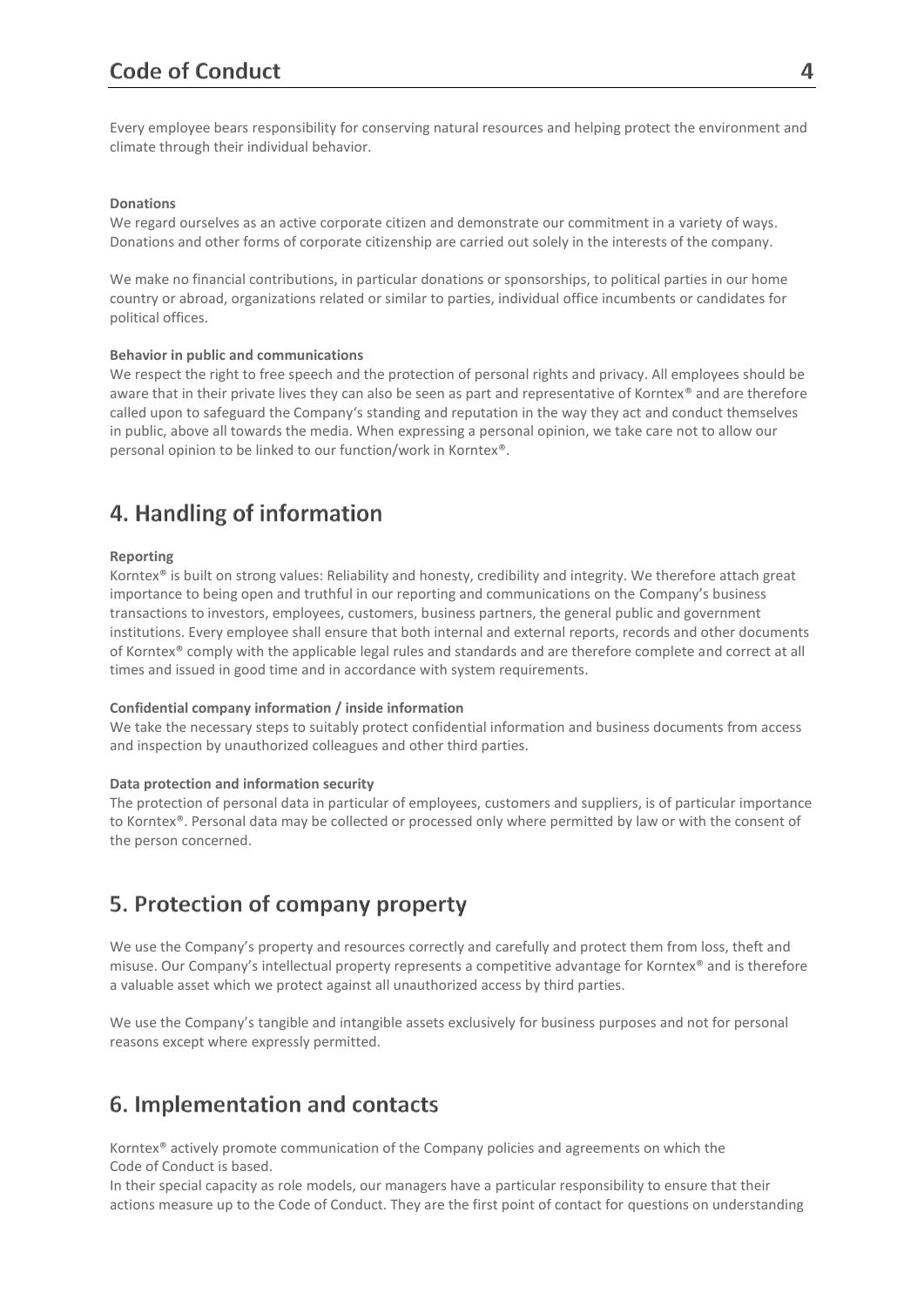Every employee bears responsibility for conserving natural resources and helping protect the environment and climate through their individual behavior.

### **Donations**

We regard ourselves as an active corporate citizen and demonstrate our commitment in a variety of ways. Donations and other forms of corporate citizenship are carried out solely in the interests of the company.

We make no financial contributions, in particular donations or sponsorships, to political parties in our home country or abroad, organizations related or similar to parties, individual office incumbents or candidates for political offices.

### **Behavior in public and communications**

We respect the right to free speech and the protection of personal rights and privacy. All employees should be aware that in their private lives they can also be seen as part and representative of Korntex® and are therefore called upon to safeguard the Company's standing and reputation in the way they act and conduct themselves in public, above all towards the media. When expressing a personal opinion, we take care not to allow our personal opinion to be linked to our function/work in Korntex®.

# 4. Handling of information

### **Reporting**

Korntex® is built on strong values: Reliability and honesty, credibility and integrity. We therefore attach great importance to being open and truthful in our reporting and communications on the Company's business transactions to investors, employees, customers, business partners, the general public and government institutions. Every employee shall ensure that both internal and external reports, records and other documents of Korntex® comply with the applicable legal rules and standards and are therefore complete and correct at all times and issued in good time and in accordance with system requirements.

### **Confidential company information / inside information**

We take the necessary steps to suitably protect confidential information and business documents from access and inspection by unauthorized colleagues and other third parties.

### **Data protection and information security**

The protection of personal data in particular of employees, customers and suppliers, is of particular importance to Korntex®. Personal data may be collected or processed only where permitted by law or with the consent of the person concerned.

# 5. Protection of company property

We use the Company's property and resources correctly and carefully and protect them from loss, theft and misuse. Our Company's intellectual property represents a competitive advantage for Korntex® and is therefore a valuable asset which we protect against all unauthorized access by third parties.

We use the Company's tangible and intangible assets exclusively for business purposes and not for personal reasons except where expressly permitted.

# 6. Implementation and contacts

Korntex® actively promote communication of the Company policies and agreements on which the Code of Conduct is based.

In their special capacity as role models, our managers have a particular responsibility to ensure that their actions measure up to the Code of Conduct. They are the first point of contact for questions on understanding